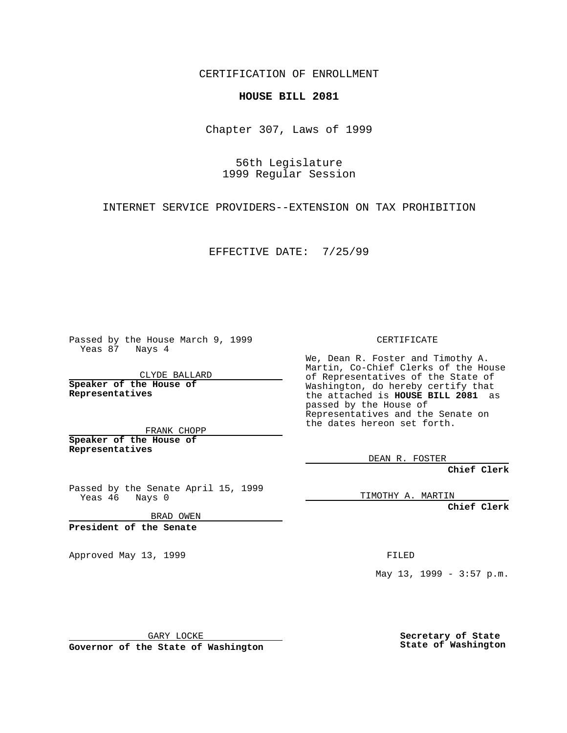CERTIFICATION OF ENROLLMENT

## **HOUSE BILL 2081**

Chapter 307, Laws of 1999

56th Legislature 1999 Regular Session

INTERNET SERVICE PROVIDERS--EXTENSION ON TAX PROHIBITION

EFFECTIVE DATE: 7/25/99

Passed by the House March 9, 1999 Yeas 87 Nays 4

CLYDE BALLARD **Speaker of the House of Representatives**

FRANK CHOPP **Speaker of the House of Representatives**

Passed by the Senate April 15, 1999<br>Yeas 46 Nays 0 Nays 0

BRAD OWEN

**President of the Senate**

Approved May 13, 1999 **FILED** 

CERTIFICATE

We, Dean R. Foster and Timothy A. Martin, Co-Chief Clerks of the House of Representatives of the State of Washington, do hereby certify that the attached is **HOUSE BILL 2081** as passed by the House of Representatives and the Senate on the dates hereon set forth.

DEAN R. FOSTER

**Chief Clerk**

TIMOTHY A. MARTIN

**Chief Clerk**

May 13, 1999 - 3:57 p.m.

GARY LOCKE

**Governor of the State of Washington**

**Secretary of State State of Washington**